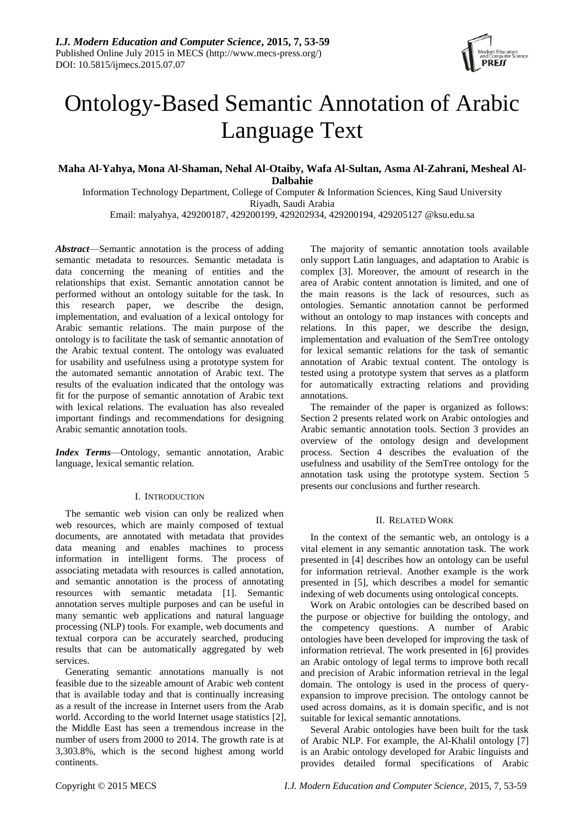

# Ontology-Based Semantic Annotation of Arabic Language Text

## **Maha Al-Yahya, Mona Al-Shaman, Nehal Al-Otaiby, Wafa Al-Sultan, Asma Al-Zahrani, Mesheal Al-Dalbahie**

Information Technology Department, College of Computer & Information Sciences, King Saud University Riyadh, Saudi Arabia Email: malyahya, 429200187, 429200199, 429202934, 429200194, 429205127 @ksu.edu.sa

*Abstract*—Semantic annotation is the process of adding semantic metadata to resources. Semantic metadata is data concerning the meaning of entities and the relationships that exist. Semantic annotation cannot be performed without an ontology suitable for the task. In this research paper, we describe the design, implementation, and evaluation of a lexical ontology for Arabic semantic relations. The main purpose of the ontology is to facilitate the task of semantic annotation of the Arabic textual content. The ontology was evaluated for usability and usefulness using a prototype system for the automated semantic annotation of Arabic text. The results of the evaluation indicated that the ontology was fit for the purpose of semantic annotation of Arabic text with lexical relations. The evaluation has also revealed important findings and recommendations for designing Arabic semantic annotation tools.

*Index Terms*—Ontology, semantic annotation, Arabic language, lexical semantic relation.

## I. INTRODUCTION

The semantic web vision can only be realized when web resources, which are mainly composed of textual documents, are annotated with metadata that provides data meaning and enables machines to process information in intelligent forms. The process of associating metadata with resources is called annotation, and semantic annotation is the process of annotating resources with semantic metadata [1]. Semantic annotation serves multiple purposes and can be useful in many semantic web applications and natural language processing (NLP) tools. For example, web documents and textual corpora can be accurately searched, producing results that can be automatically aggregated by web services.

Generating semantic annotations manually is not feasible due to the sizeable amount of Arabic web content that is available today and that is continually increasing as a result of the increase in Internet users from the Arab world. According to the world Internet usage statistics [2], the Middle East has seen a tremendous increase in the number of users from 2000 to 2014. The growth rate is at 3,303.8%, which is the second highest among world continents.

The majority of semantic annotation tools available only support Latin languages, and adaptation to Arabic is complex [3]. Moreover, the amount of research in the area of Arabic content annotation is limited, and one of the main reasons is the lack of resources, such as ontologies. Semantic annotation cannot be performed without an ontology to map instances with concepts and relations. In this paper, we describe the design, implementation and evaluation of the SemTree ontology for lexical semantic relations for the task of semantic annotation of Arabic textual content. The ontology is tested using a prototype system that serves as a platform for automatically extracting relations and providing annotations.

The remainder of the paper is organized as follows: Section 2 presents related work on Arabic ontologies and Arabic semantic annotation tools. Section 3 provides an overview of the ontology design and development process. Section 4 describes the evaluation of the usefulness and usability of the SemTree ontology for the annotation task using the prototype system. Section 5 presents our conclusions and further research.

#### II. RELATED WORK

In the context of the semantic web, an ontology is a vital element in any semantic annotation task. The work presented in [4] describes how an ontology can be useful for information retrieval. Another example is the work presented in [5], which describes a model for semantic indexing of web documents using ontological concepts.

Work on Arabic ontologies can be described based on the purpose or objective for building the ontology, and the competency questions. A number of Arabic ontologies have been developed for improving the task of information retrieval. The work presented in [6] provides an Arabic ontology of legal terms to improve both recall and precision of Arabic information retrieval in the legal domain. The ontology is used in the process of queryexpansion to improve precision. The ontology cannot be used across domains, as it is domain specific, and is not suitable for lexical semantic annotations.

Several Arabic ontologies have been built for the task of Arabic NLP. For example, the Al-Khalil ontology [7] is an Arabic ontology developed for Arabic linguists and provides detailed formal specifications of Arabic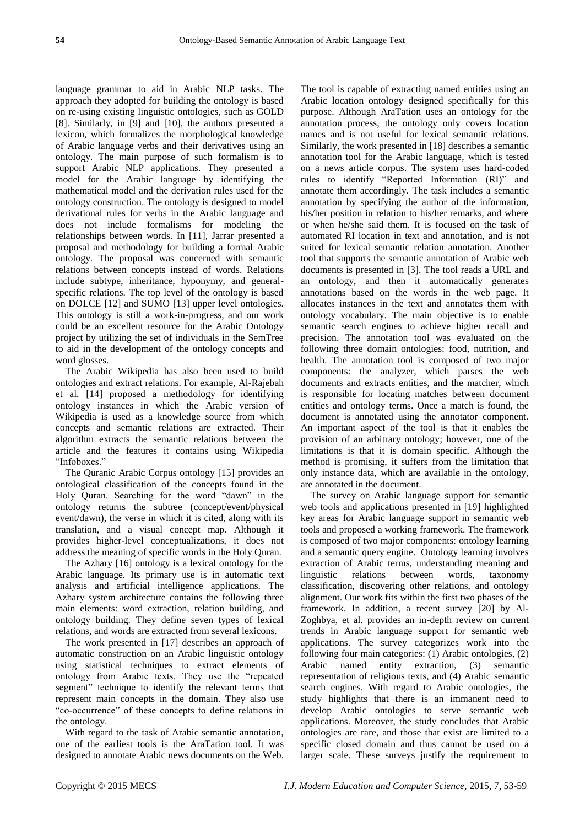language grammar to aid in Arabic NLP tasks. The approach they adopted for building the ontology is based on re-using existing linguistic ontologies, such as GOLD [8]. Similarly, in [9] and [10], the authors presented a lexicon, which formalizes the morphological knowledge of Arabic language verbs and their derivatives using an ontology. The main purpose of such formalism is to support Arabic NLP applications. They presented a model for the Arabic language by identifying the mathematical model and the derivation rules used for the ontology construction. The ontology is designed to model derivational rules for verbs in the Arabic language and does not include formalisms for modeling the relationships between words. In [11], Jarrar presented a proposal and methodology for building a formal Arabic ontology. The proposal was concerned with semantic relations between concepts instead of words. Relations include subtype, inheritance, hyponymy, and generalspecific relations. The top level of the ontology is based on DOLCE [12] and SUMO [13] upper level ontologies. This ontology is still a work-in-progress, and our work could be an excellent resource for the Arabic Ontology project by utilizing the set of individuals in the SemTree to aid in the development of the ontology concepts and word glosses.

The Arabic Wikipedia has also been used to build ontologies and extract relations. For example, Al-Rajebah et al. [14] proposed a methodology for identifying ontology instances in which the Arabic version of Wikipedia is used as a knowledge source from which concepts and semantic relations are extracted. Their algorithm extracts the semantic relations between the article and the features it contains using Wikipedia "Infoboxes."

The Quranic Arabic Corpus ontology [15] provides an ontological classification of the concepts found in the Holy Quran. Searching for the word "dawn" in the ontology returns the subtree (concept/event/physical event/dawn), the verse in which it is cited, along with its translation, and a visual concept map. Although it provides higher-level conceptualizations, it does not address the meaning of specific words in the Holy Quran.

The Azhary [16] ontology is a lexical ontology for the Arabic language. Its primary use is in automatic text analysis and artificial intelligence applications. The Azhary system architecture contains the following three main elements: word extraction, relation building, and ontology building. They define seven types of lexical relations, and words are extracted from several lexicons.

The work presented in [17] describes an approach of automatic construction on an Arabic linguistic ontology using statistical techniques to extract elements of ontology from Arabic texts. They use the "repeated segment" technique to identify the relevant terms that represent main concepts in the domain. They also use ―co-occurrence‖ of these concepts to define relations in the ontology.

With regard to the task of Arabic semantic annotation, one of the earliest tools is the AraTation tool. It was designed to annotate Arabic news documents on the Web. The tool is capable of extracting named entities using an Arabic location ontology designed specifically for this purpose. Although AraTation uses an ontology for the annotation process, the ontology only covers location names and is not useful for lexical semantic relations. Similarly, the work presented in [18] describes a semantic annotation tool for the Arabic language, which is tested on a news article corpus. The system uses hard-coded rules to identify "Reported Information (RI)" and annotate them accordingly. The task includes a semantic annotation by specifying the author of the information, his/her position in relation to his/her remarks, and where or when he/she said them. It is focused on the task of automated RI location in text and annotation, and is not suited for lexical semantic relation annotation. Another tool that supports the semantic annotation of Arabic web documents is presented in [3]. The tool reads a URL and an ontology, and then it automatically generates annotations based on the words in the web page. It allocates instances in the text and annotates them with ontology vocabulary. The main objective is to enable semantic search engines to achieve higher recall and precision. The annotation tool was evaluated on the following three domain ontologies: food, nutrition, and health. The annotation tool is composed of two major components: the analyzer, which parses the web documents and extracts entities, and the matcher, which is responsible for locating matches between document entities and ontology terms. Once a match is found, the document is annotated using the annotator component. An important aspect of the tool is that it enables the provision of an arbitrary ontology; however, one of the limitations is that it is domain specific. Although the method is promising, it suffers from the limitation that only instance data, which are available in the ontology, are annotated in the document.

The survey on Arabic language support for semantic web tools and applications presented in [19] highlighted key areas for Arabic language support in semantic web tools and proposed a working framework. The framework is composed of two major components: ontology learning and a semantic query engine. Ontology learning involves extraction of Arabic terms, understanding meaning and linguistic relations between words, taxonomy classification, discovering other relations, and ontology alignment. Our work fits within the first two phases of the framework. In addition, a recent survey [20] by Al-Zoghbya, et al. provides an in-depth review on current trends in Arabic language support for semantic web applications. The survey categorizes work into the following four main categories: (1) Arabic ontologies, (2) Arabic named entity extraction, (3) semantic representation of religious texts, and (4) Arabic semantic search engines. With regard to Arabic ontologies, the study highlights that there is an immanent need to develop Arabic ontologies to serve semantic web applications. Moreover, the study concludes that Arabic ontologies are rare, and those that exist are limited to a specific closed domain and thus cannot be used on a larger scale. These surveys justify the requirement to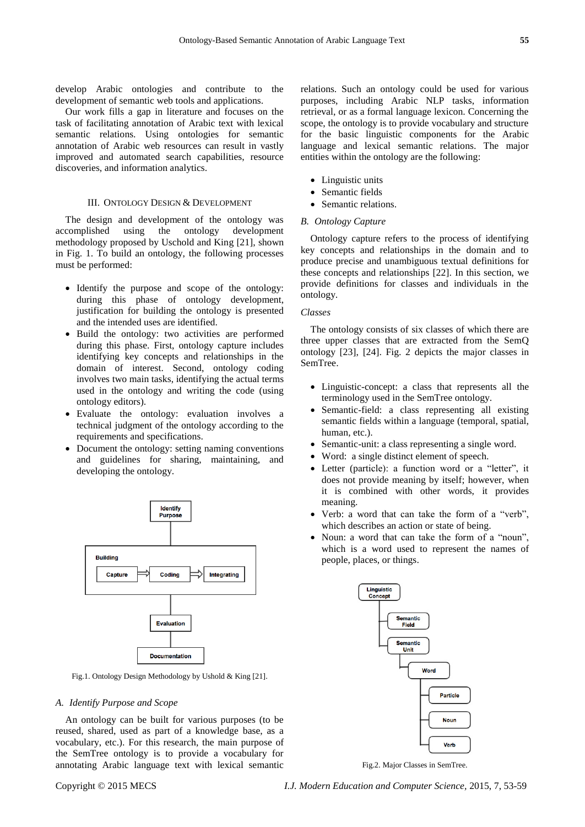develop Arabic ontologies and contribute to the development of semantic web tools and applications.

Our work fills a gap in literature and focuses on the task of facilitating annotation of Arabic text with lexical semantic relations. Using ontologies for semantic annotation of Arabic web resources can result in vastly improved and automated search capabilities, resource discoveries, and information analytics.

## III. ONTOLOGY DESIGN & DEVELOPMENT

The design and development of the ontology was accomplished using the ontology development methodology proposed by Uschold and King [21], shown in Fig. 1. To build an ontology, the following processes must be performed:

- Identify the purpose and scope of the ontology: during this phase of ontology development, justification for building the ontology is presented and the intended uses are identified.
- Build the ontology: two activities are performed during this phase. First, ontology capture includes identifying key concepts and relationships in the domain of interest. Second, ontology coding involves two main tasks, identifying the actual terms used in the ontology and writing the code (using ontology editors).
- Evaluate the ontology: evaluation involves a technical judgment of the ontology according to the requirements and specifications.
- Document the ontology: setting naming conventions and guidelines for sharing, maintaining, and developing the ontology.



Fig.1. Ontology Design Methodology by Ushold & King [21].

#### *A. Identify Purpose and Scope*

An ontology can be built for various purposes (to be reused, shared, used as part of a knowledge base, as a vocabulary, etc.). For this research, the main purpose of the SemTree ontology is to provide a vocabulary for annotating Arabic language text with lexical semantic relations. Such an ontology could be used for various purposes, including Arabic NLP tasks, information retrieval, or as a formal language lexicon. Concerning the scope, the ontology is to provide vocabulary and structure for the basic linguistic components for the Arabic language and lexical semantic relations. The major entities within the ontology are the following:

- Linguistic units
- Semantic fields
- Semantic relations.

#### *B. Ontology Capture*

Ontology capture refers to the process of identifying key concepts and relationships in the domain and to produce precise and unambiguous textual definitions for these concepts and relationships [22]. In this section, we provide definitions for classes and individuals in the ontology.

### *Classes*

The ontology consists of six classes of which there are three upper classes that are extracted from the SemQ ontology [23], [24]. Fig. 2 depicts the major classes in SemTree.

- Linguistic-concept: a class that represents all the terminology used in the SemTree ontology.
- Semantic-field: a class representing all existing semantic fields within a language (temporal, spatial, human, etc.).
- Semantic-unit: a class representing a single word.
- Word: a single distinct element of speech.
- Letter (particle): a function word or a "letter", it does not provide meaning by itself; however, when it is combined with other words, it provides meaning.
- Verb: a word that can take the form of a "verb", which describes an action or state of being.
- Noun: a word that can take the form of a "noun", which is a word used to represent the names of people, places, or things.



Fig.2. Major Classes in SemTree.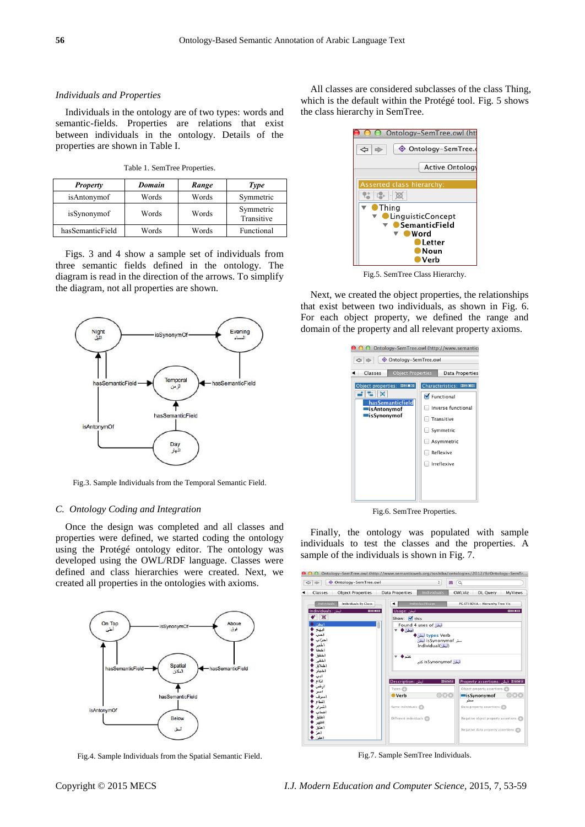#### *Individuals and Properties*

Individuals in the ontology are of two types: words and semantic-fields. Properties are relations that exist between individuals in the ontology. Details of the properties are shown in Table I.

Table 1. SemTree Properties.

| <b>Property</b>  | Domain | Range | Type                    |
|------------------|--------|-------|-------------------------|
| isAntonymof      | Words  | Words | Symmetric               |
| isSynonymof      | Words  | Words | Symmetric<br>Transitive |
| hasSemanticField | Words  | Words | Functional              |

Figs. 3 and 4 show a sample set of individuals from three semantic fields defined in the ontology. The diagram is read in the direction of the arrows. To simplify the diagram, not all properties are shown.



Fig.3. Sample Individuals from the Temporal Semantic Field.

#### *C. Ontology Coding and Integration*

Once the design was completed and all classes and properties were defined, we started coding the ontology using the Protégé ontology editor. The ontology was developed using the OWL/RDF language. Classes were defined and class hierarchies were created. Next, we created all properties in the ontologies with axioms.



Fig.4. Sample Individuals from the Spatial Semantic Field.

All classes are considered subclasses of the class Thing, which is the default within the Protégé tool. Fig. 5 shows the class hierarchy in SemTree.

| Ontology-SemTree.owl (htt                 |  |  |
|-------------------------------------------|--|--|
| © Ontology-SemTree.c<br>⇦                 |  |  |
| <b>Active Ontology</b>                    |  |  |
| Asserted class hierarchy:                 |  |  |
|                                           |  |  |
| Thing                                     |  |  |
| <b>LinguisticConcept</b><br>SemanticField |  |  |
| Word<br>Letter                            |  |  |
|                                           |  |  |
| Verb                                      |  |  |

Fig.5. SemTree Class Hierarchy.

Next, we created the object properties, the relationships that exist between two individuals, as shown in Fig. 6. For each object property, we defined the range and domain of the property and all relevant property axioms.

| Classes<br><b>Object Properties</b><br>Characteristics: 0808<br>Object properties: DHOE<br>∶ਾ∟ਾ∞<br>Functional<br>hasSemanticfield<br>Inverse functional<br><b>lisAntonymof</b><br><b>lisSynonymof</b><br>Transitive<br>Symmetric<br>Asymmetric | O O Ontology-SemTree.owl (http://www.semanticy<br>♦ Ontology-SemTree.owl<br>$\Leftrightarrow$ |                                     |  |  |
|-------------------------------------------------------------------------------------------------------------------------------------------------------------------------------------------------------------------------------------------------|-----------------------------------------------------------------------------------------------|-------------------------------------|--|--|
| Irreflexive                                                                                                                                                                                                                                     |                                                                                               | <b>Data Properties</b><br>Reflexive |  |  |

Fig.6. SemTree Properties.

Finally, the ontology was populated with sample individuals to test the classes and the properties. A sample of the individuals is shown in Fig. 7.

| $\Theta$ $\Theta$ Ontology-SemTree.owl (http://www.semanticweb.org/toshiba/ontologies/2012/9/Ontology-SemTr                                |                                                         |                                                                                                                     |                |                                         |                |
|--------------------------------------------------------------------------------------------------------------------------------------------|---------------------------------------------------------|---------------------------------------------------------------------------------------------------------------------|----------------|-----------------------------------------|----------------|
| ♦ Ontology-SemTree.owl<br>$\Leftrightarrow$<br>$\Rightarrow$                                                                               |                                                         | ÷                                                                                                                   | $\alpha$<br>88 |                                         |                |
| <b>Object Properties</b><br>Classes<br>٠                                                                                                   | <b>Data Properties</b>                                  | <b>Individuals</b>                                                                                                  | OWLViz         | DL Query                                | <b>MyViews</b> |
| <b>Individuals</b><br><b>Individuals By Class</b>                                                                                          |                                                         | <b>Individual Usage</b>                                                                                             |                | PG ETI SOVA - Hierarchy Tree Vis        |                |
| Individuals: أنطن<br><b>DB08</b><br>$\mathbb{R}$<br>أنطن<br>أيبهج<br>أحب<br>أحزاب<br>أخبر<br>أخطأ<br>أخفق<br>أخفى<br>أخلاق<br>أخمار<br>أدب | lusage: أبطن<br>Show: $\forall$ this<br>أبطن ♦<br>کتہ ♦ | <b>Found 4 uses of</b> أبطن<br>types Verb أيطن ♦<br>ست isSvnonvmof أىطن<br>Individual(أبطن)<br>أبطن isSynonymof كتم |                |                                         | <b>DBD8</b>    |
| أذاع                                                                                                                                       | Description: أبطن                                       | 0808                                                                                                                |                | <b>IDEEEE</b> أبطن: Property assertions |                |
| ار ض<br>أسعر                                                                                                                               | Types <sup>1</sup>                                      |                                                                                                                     |                | Object property assertions              |                |
| أسبرف                                                                                                                                      | $\bullet$ Verb                                          | @30                                                                                                                 | ست             | <b>EisSynonymof</b>                     | @80            |
| أشباع<br>اشعر ار<br>أصباب                                                                                                                  | Same individuals                                        |                                                                                                                     |                | Data property assertions                |                |
| أطلق<br>أظهر                                                                                                                               | Different individuals                                   |                                                                                                                     |                | Negative object property assertions     |                |
| أعتق<br>ا عہ<br>أعلن                                                                                                                       |                                                         |                                                                                                                     |                | Negative data property assertions       |                |

Fig.7. Sample SemTree Individuals.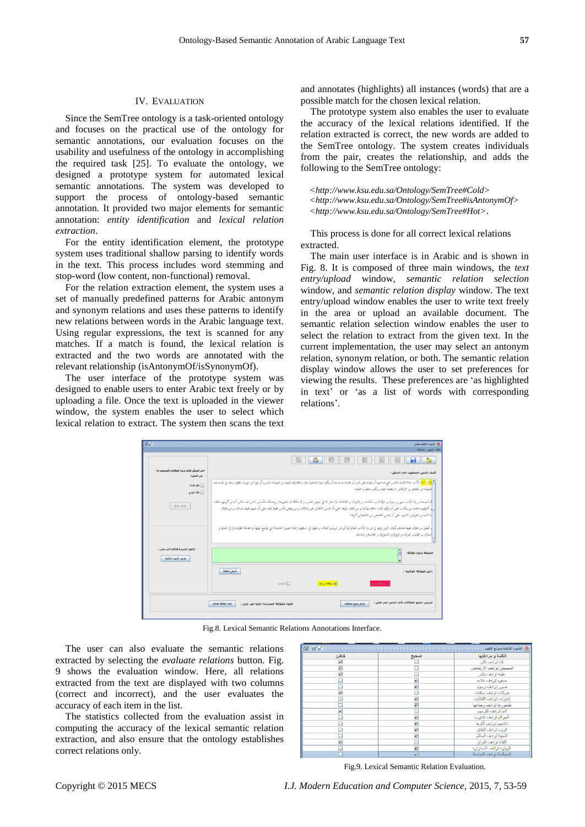#### IV. EVALUATION

Since the SemTree ontology is a task-oriented ontology and focuses on the practical use of the ontology for semantic annotations, our evaluation focuses on the usability and usefulness of the ontology in accomplishing the required task [25]. To evaluate the ontology, we designed a prototype system for automated lexical semantic annotations. The system was developed to support the process of ontology-based semantic annotation. It provided two major elements for semantic annotation: *entity identification* and *lexical relation extraction*.

For the entity identification element, the prototype system uses traditional shallow parsing to identify words in the text. This process includes word stemming and stop-word (low content, non-functional) removal.

For the relation extraction element, the system uses a set of manually predefined patterns for Arabic antonym and synonym relations and uses these patterns to identify new relations between words in the Arabic language text. Using regular expressions, the text is scanned for any matches. If a match is found, the lexical relation is extracted and the two words are annotated with the relevant relationship (isAntonymOf/isSynonymOf).

The user interface of the prototype system was designed to enable users to enter Arabic text freely or by uploading a file. Once the text is uploaded in the viewer window, the system enables the user to select which lexical relation to extract. The system then scans the text and annotates (highlights) all instances (words) that are a possible match for the chosen lexical relation.

The prototype system also enables the user to evaluate the accuracy of the lexical relations identified. If the relation extracted is correct, the new words are added to the SemTree ontology. The system creates individuals from the pair, creates the relationship, and adds the following to the SemTree ontology:

*<http://www.ksu.edu.sa/Ontology/SemTree#Cold> <http://www.ksu.edu.sa/Ontology/SemTree#isAntonymOf> <http://www.ksu.edu.sa/Ontology/SemTree#Hot>*.

This process is done for all correct lexical relations extracted.

The main user interface is in Arabic and is shown in Fig. 8. It is composed of three main windows, the *text entry/upload* window, *semantic relation selection* window, and *semantic relation display* window. The text entry/upload window enables the user to write text freely in the area or upload an available document. The semantic relation selection window enables the user to select the relation to extract from the given text. In the current implementation, the user may select an antonym relation, synonym relation, or both. The semantic relation display window allows the user to set preferences for viewing the results. These preferences are ‗as highlighted in text' or 'as a list of words with corresponding relations'.

|                                                           | 8 E                                                                                                                                                                                                                                                                                                                                                                                                                     |
|-----------------------------------------------------------|-------------------------------------------------------------------------------------------------------------------------------------------------------------------------------------------------------------------------------------------------------------------------------------------------------------------------------------------------------------------------------------------------------------------------|
| اختر الشكل الذي تربده للملافات المستخرجة<br>من النص:      | أضف النص المطلوب في الحقل :                                                                                                                                                                                                                                                                                                                                                                                             |
| التناصلان قصة<br><mark>ا</mark> المكل شهري                | ال <mark>شرك لكان</mark> الأدب حالا قالعة بالتفس تمتع صاحبها أن يقدم على شر، أو ي <i>نفرف الفورد القاطعة الغور العادر والغار والشور العالمية المرورة من نزوات العقل، والذين تورت العقل، والخطور العقل، والمعلمات العقل، والذين تورت العقل، و</i><br> لمحشياته من المضض و الارتماض ما ينغصه عليه و يكدر صفوه و هناءه.                                                                                                    |
| عرض الشكل                                                 | ألم أصبحناء و إذا الأدب صور و رسومه و حركات و إشارات و التفاتات، لا دعل لها في جوهر النفس، و لا علاقة لها بشعورها و وجدالها. فأحسن الناس عند الناس أدبا و أكرمهم خلقاء<br>_ إو أشرفهم مذهباء من يكذب على أن يكون كذبه سالفا مهذبا، و من يخلف الوعد على أن علائم عن إعلامه، و من يغض الناس جمعا بقلبه على أن يجهم جمعا بلسانه، و من يقترف<br>  ما شُاءِ من الجَرائمِ و الذُّنوبِ على أن يُحسن التخلص من كالجها و آثارها. |
|                                                           | ِ أفضل من هؤلاء جيعا عندهم أولتك الذين يرعوا في فن (( الآداب العالية )) أي فن الرياء و الناقل، والذلك التصورة الجامدة التي تواضع عليها (( جماعة الظرفاء )) في التحية و<br>  ألسلام. و اللقاه و الفراق؛ و الزيارة و الاستزارة، و المحالسة و المنادمة.                                                                                                                                                                    |
| لإطهار الشيجرة الدلالية اتقر على :<br>عرض الشهرة النلالية | الحملة بدون علاقة:                                                                                                                                                                                                                                                                                                                                                                                                      |
|                                                           | عرض العلاقة<br>اختر العلاقة الدلالية :                                                                                                                                                                                                                                                                                                                                                                                  |
|                                                           | لى ملاقة ترادف<br>$\text{Laws}$<br><mark>ا علاقه تنابل</mark>                                                                                                                                                                                                                                                                                                                                                           |
|                                                           |                                                                                                                                                                                                                                                                                                                                                                                                                         |

Fig.8. Lexical Semantic Relations Annotations Interface.

The user can also evaluate the semantic relations extracted by selecting the *evaluate relations* button. Fig. 9 shows the evaluation window. Here, all relations extracted from the text are displayed with two columns (correct and incorrect), and the user evaluates the accuracy of each item in the list.

The statistics collected from the evaluation assist in computing the accuracy of the lexical semantic relation extraction, and also ensure that the ontology establishes correct relations only.

| 同同<br>図                 |                           | <sup>40</sup> الشجرة الدلالية.تموذج التقييم |
|-------------------------|---------------------------|---------------------------------------------|
| خاطئ                    | صحيح                      | الكلمة و مرادفتها                           |
| $\boldsymbol{\nu}$      |                           | کنا تر ادف کان                              |
| $\boldsymbol{\nu}$      |                           | المضض ثرادف الأرثماض                        |
| $\overline{\mathbf{v}}$ |                           | علبه تر ادف بکدر                            |
|                         | V                         | صفوه ثرائف هناءه                            |
|                         | $\boldsymbol{\mathsf{v}}$ | صور ترادف رسوم                              |
| $\overline{\mathbf{v}}$ |                           | حر کات تر ادف سکنات                         |
|                         | V                         | إشارات ترادف الكنائات                       |
|                         | $\overline{\mathbf{v}}$   | يشعورها ترادف وجدانها                       |
| $\overline{\mathbf{v}}$ |                           | أدبا ترادف أكرمهم                           |
|                         | V                         | الجرائم ترادف الذنوب                        |
|                         | $\overline{\mathbf{v}}$   | نتائجها ترادف آتارها                        |
|                         | V                         | الرياء ترائف النفاق                         |
|                         | $\mathbf{v}$              | التحية ترادف السلام                         |
| $\overline{\mathbf{v}}$ |                           | اللقاء ترادف الغراق                         |
|                         | V                         | الزيارة ثرائف الإستزارة                     |
|                         | $\overline{\mathbf{v}}$   | المحالسة ترادف المنادمة                     |

Fig.9. Lexical Semantic Relation Evaluation.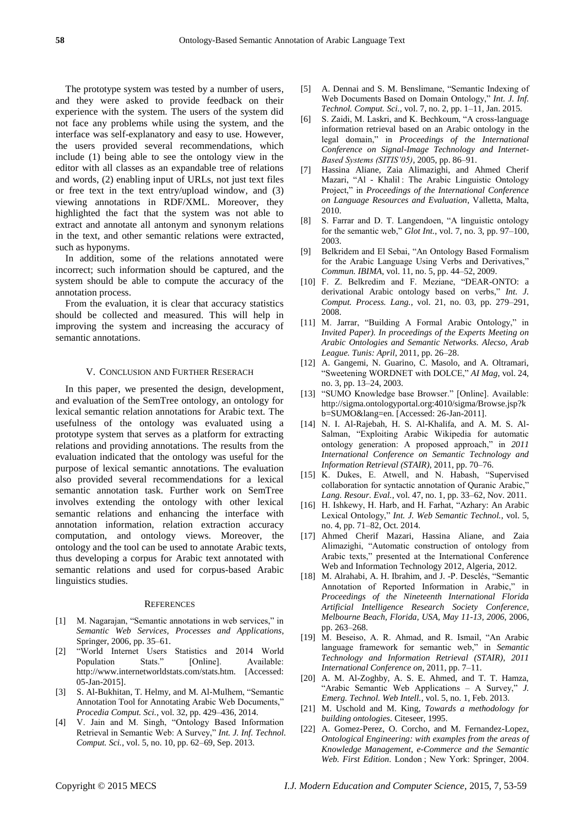The prototype system was tested by a number of users, and they were asked to provide feedback on their experience with the system. The users of the system did not face any problems while using the system, and the interface was self-explanatory and easy to use. However, the users provided several recommendations, which include (1) being able to see the ontology view in the editor with all classes as an expandable tree of relations and words, (2) enabling input of URLs, not just text files or free text in the text entry/upload window, and (3) viewing annotations in RDF/XML. Moreover, they highlighted the fact that the system was not able to extract and annotate all antonym and synonym relations in the text, and other semantic relations were extracted, such as hyponyms.

In addition, some of the relations annotated were incorrect; such information should be captured, and the system should be able to compute the accuracy of the annotation process.

From the evaluation, it is clear that accuracy statistics should be collected and measured. This will help in improving the system and increasing the accuracy of semantic annotations.

#### V. CONCLUSION AND FURTHER RESERACH

In this paper, we presented the design, development, and evaluation of the SemTree ontology, an ontology for lexical semantic relation annotations for Arabic text. The usefulness of the ontology was evaluated using a prototype system that serves as a platform for extracting relations and providing annotations. The results from the evaluation indicated that the ontology was useful for the purpose of lexical semantic annotations. The evaluation also provided several recommendations for a lexical semantic annotation task. Further work on SemTree involves extending the ontology with other lexical semantic relations and enhancing the interface with annotation information, relation extraction accuracy computation, and ontology views. Moreover, the ontology and the tool can be used to annotate Arabic texts, thus developing a corpus for Arabic text annotated with semantic relations and used for corpus-based Arabic linguistics studies.

#### **REFERENCES**

- [1] M. Nagarajan, "Semantic annotations in web services," in *Semantic Web Services, Processes and Applications*, Springer, 2006, pp. 35–61.
- [2] "World Internet Users Statistics and 2014 World Population Stats." [Online]. Available: http://www.internetworldstats.com/stats.htm. [Accessed: 05-Jan-2015].
- [3] S. Al-Bukhitan, T. Helmy, and M. Al-Mulhem, "Semantic Annotation Tool for Annotating Arabic Web Documents," *Procedia Comput. Sci.*, vol. 32, pp. 429–436, 2014.
- [4] V. Jain and M. Singh, "Ontology Based Information Retrieval in Semantic Web: A Survey," *Int. J. Inf. Technol. Comput. Sci.*, vol. 5, no. 10, pp. 62–69, Sep. 2013.
- [5] A. Dennai and S. M. Benslimane, "Semantic Indexing of Web Documents Based on Domain Ontology," *Int. J. Inf. Technol. Comput. Sci.*, vol. 7, no. 2, pp. 1–11, Jan. 2015.
- [6] S. Zaidi, M. Laskri, and K. Bechkoum, "A cross-language information retrieval based on an Arabic ontology in the legal domain," in *Proceedings of the International Conference on Signal-Image Technology and Internet-Based Systems (SITIS'05)*, 2005, pp. 86–91.
- [7] Hassina Aliane, Zaia Alimazighi, and Ahmed Cherif Mazari, "Al - Khalil : The Arabic Linguistic Ontology Project." in *Proceedings of the International Conference on Language Resources and Evaluation*, Valletta, Malta, 2010.
- [8] S. Farrar and D. T. Langendoen, "A linguistic ontology for the semantic web," *Glot Int.*, vol. 7, no. 3, pp. 97–100, 2003.
- [9] Belkridem and El Sebai, "An Ontology Based Formalism for the Arabic Language Using Verbs and Derivatives," *Commun. IBIMA*, vol. 11, no. 5, pp. 44–52, 2009.
- [10] F. Z. Belkredim and F. Meziane, "DEAR-ONTO: a derivational Arabic ontology based on verbs," *Int. J. Comput. Process. Lang.*, vol. 21, no. 03, pp. 279–291, 2008.
- [11] M. Jarrar, "Building A Formal Arabic Ontology," in *Invited Paper). In proceedings of the Experts Meeting on Arabic Ontologies and Semantic Networks. Alecso, Arab League. Tunis: April*, 2011, pp. 26–28.
- [12] A. Gangemi, N. Guarino, C. Masolo, and A. Oltramari, ―Sweetening WORDNET with DOLCE,‖ *AI Mag*, vol. 24, no. 3, pp. 13–24, 2003.
- [13] "SUMO Knowledge base Browser." [Online]. Available: http://sigma.ontologyportal.org:4010/sigma/Browse.jsp?k b=SUMO&lang=en. [Accessed: 26-Jan-2011].
- [14] N. I. Al-Rajebah, H. S. Al-Khalifa, and A. M. S. Al-Salman, "Exploiting Arabic Wikipedia for automatic ontology generation: A proposed approach," in 2011 *International Conference on Semantic Technology and Information Retrieval (STAIR)*, 2011, pp. 70–76.
- [15] K. Dukes, E. Atwell, and N. Habash, "Supervised collaboration for syntactic annotation of Quranic Arabic,' *Lang. Resour. Eval.*, vol. 47, no. 1, pp. 33–62, Nov. 2011.
- [16] H. Ishkewy, H. Harb, and H. Farhat, "Azhary: An Arabic Lexical Ontology," *Int. J. Web Semantic Technol.*, vol. 5, no. 4, pp. 71–82, Oct. 2014.
- [17] Ahmed Cherif Mazari, Hassina Aliane, and Zaia Alimazighi, "Automatic construction of ontology from Arabic texts," presented at the International Conference Web and Information Technology 2012, Algeria, 2012.
- [18] M. Alrahabi, A. H. Ibrahim, and J. -P. Desclés, "Semantic Annotation of Reported Information in Arabic," in *Proceedings of the Nineteenth International Florida Artificial Intelligence Research Society Conference, Melbourne Beach, Florida, USA, May 11-13, 2006*, 2006, pp. 263–268.
- [19] M. Beseiso, A. R. Ahmad, and R. Ismail, "An Arabic language framework for semantic web," in *Semantic Technology and Information Retrieval (STAIR), 2011 International Conference on*, 2011, pp. 7–11.
- [20] A. M. Al-Zoghby, A. S. E. Ahmed, and T. T. Hamza, "Arabic Semantic Web Applications – A Survey," *J. Emerg. Technol. Web Intell.*, vol. 5, no. 1, Feb. 2013.
- [21] M. Uschold and M. King, *Towards a methodology for building ontologies*. Citeseer, 1995.
- [22] A. Gomez-Perez, O. Corcho, and M. Fernandez-Lopez, *Ontological Engineering: with examples from the areas of Knowledge Management, e-Commerce and the Semantic Web. First Edition*. London ; New York: Springer, 2004.